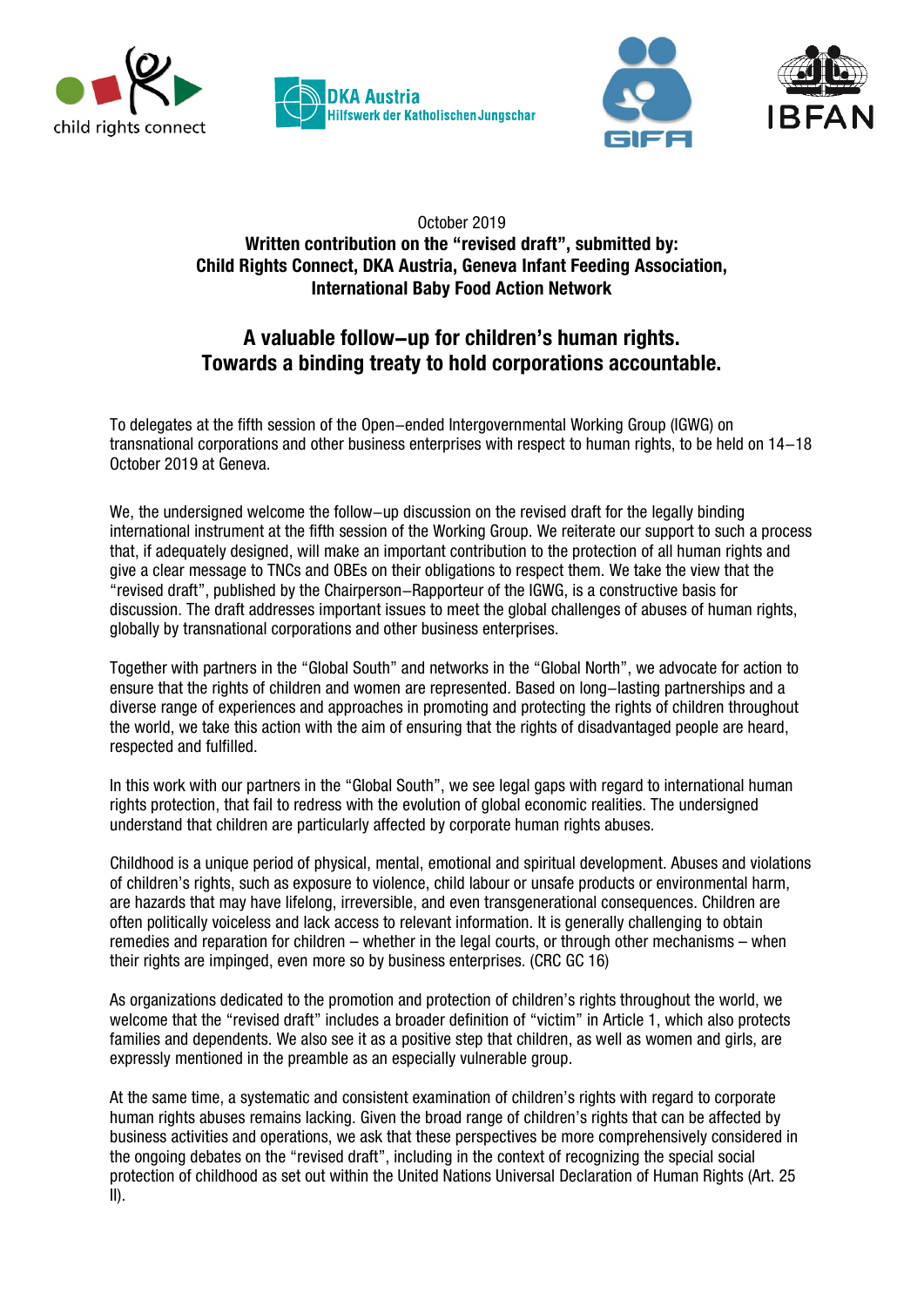







## October 2019 **Written contribution on the "revised draft", submitted by: Child Rights Connect, DKA Austria, Geneva Infant Feeding Association, International Baby Food Action Network**

## **A valuable follow-up for children's human rights. Towards a binding treaty to hold corporations accountable.**

To delegates at the fifth session of the Open-ended Intergovernmental Working Group (IGWG) on transnational corporations and other business enterprises with respect to human rights, to be held on 14-18 October 2019 at Geneva.

We, the undersigned welcome the follow-up discussion on the revised draft for the legally binding international instrument at the fifth session of the Working Group. We reiterate our support to such a process that, if adequately designed, will make an important contribution to the protection of all human rights and give a clear message to TNCs and OBEs on their obligations to respect them. We take the view that the "revised draft", published by the Chairperson-Rapporteur of the IGWG, is a constructive basis for discussion. The draft addresses important issues to meet the global challenges of abuses of human rights, globally by transnational corporations and other business enterprises.

Together with partners in the "Global South" and networks in the "Global North", we advocate for action to ensure that the rights of children and women are represented. Based on long-lasting partnerships and a diverse range of experiences and approaches in promoting and protecting the rights of children throughout the world, we take this action with the aim of ensuring that the rights of disadvantaged people are heard, respected and fulfilled.

In this work with our partners in the "Global South", we see legal gaps with regard to international human rights protection, that fail to redress with the evolution of global economic realities. The undersigned understand that children are particularly affected by corporate human rights abuses.

Childhood is a unique period of physical, mental, emotional and spiritual development. Abuses and violations of children's rights, such as exposure to violence, child labour or unsafe products or environmental harm, are hazards that may have lifelong, irreversible, and even transgenerational consequences. Children are often politically voiceless and lack access to relevant information. It is generally challenging to obtain remedies and reparation for children – whether in the legal courts, or through other mechanisms – when their rights are impinged, even more so by business enterprises. (CRC GC 16)

As organizations dedicated to the promotion and protection of children's rights throughout the world, we welcome that the "revised draft" includes a broader definition of "victim" in Article 1, which also protects families and dependents. We also see it as a positive step that children, as well as women and girls, are expressly mentioned in the preamble as an especially vulnerable group.

At the same time, a systematic and consistent examination of children's rights with regard to corporate human rights abuses remains lacking. Given the broad range of children's rights that can be affected by business activities and operations, we ask that these perspectives be more comprehensively considered in the ongoing debates on the "revised draft", including in the context of recognizing the special social protection of childhood as set out within the United Nations Universal Declaration of Human Rights (Art. 25 II).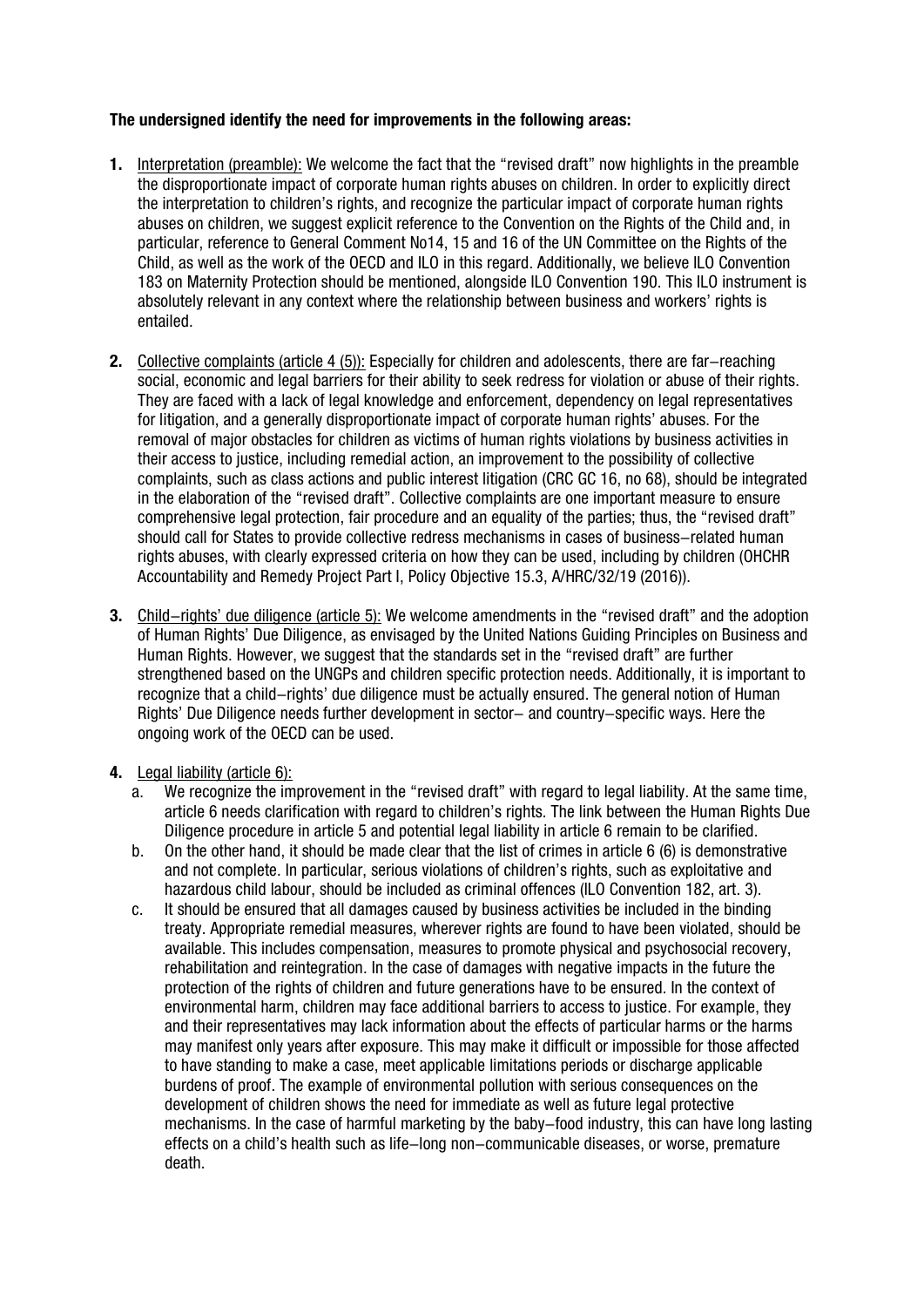## **The undersigned identify the need for improvements in the following areas:**

- **1.** Interpretation (preamble): We welcome the fact that the "revised draft" now highlights in the preamble the disproportionate impact of corporate human rights abuses on children. In order to explicitly direct the interpretation to children's rights, and recognize the particular impact of corporate human rights abuses on children, we suggest explicit reference to the Convention on the Rights of the Child and, in particular, reference to General Comment No14, 15 and 16 of the UN Committee on the Rights of the Child, as well as the work of the OECD and ILO in this regard. Additionally, we believe ILO Convention 183 on Maternity Protection should be mentioned, alongside ILO Convention 190. This ILO instrument is absolutely relevant in any context where the relationship between business and workers' rights is entailed.
- **2.** Collective complaints (article 4 (5)): Especially for children and adolescents, there are far-reaching social, economic and legal barriers for their ability to seek redress for violation or abuse of their rights. They are faced with a lack of legal knowledge and enforcement, dependency on legal representatives for litigation, and a generally disproportionate impact of corporate human rights' abuses. For the removal of major obstacles for children as victims of human rights violations by business activities in their access to justice, including remedial action, an improvement to the possibility of collective complaints, such as class actions and public interest litigation (CRC GC 16, no 68), should be integrated in the elaboration of the "revised draft". Collective complaints are one important measure to ensure comprehensive legal protection, fair procedure and an equality of the parties; thus, the "revised draft" should call for States to provide collective redress mechanisms in cases of business-related human rights abuses, with clearly expressed criteria on how they can be used, including by children (OHCHR Accountability and Remedy Project Part I, Policy Objective 15.3, A/HRC/32/19 (2016)).
- **3.** Child-rights' due diligence (article 5): We welcome amendments in the "revised draft" and the adoption of Human Rights' Due Diligence, as envisaged by the United Nations Guiding Principles on Business and Human Rights. However, we suggest that the standards set in the "revised draft" are further strengthened based on the UNGPs and children specific protection needs. Additionally, it is important to recognize that a child-rights' due diligence must be actually ensured. The general notion of Human Rights' Due Diligence needs further development in sector- and country-specific ways. Here the ongoing work of the OECD can be used.
- **4.** Legal liability (article 6):
	- a. We recognize the improvement in the "revised draft" with regard to legal liability. At the same time, article 6 needs clarification with regard to children's rights. The link between the Human Rights Due Diligence procedure in article 5 and potential legal liability in article 6 remain to be clarified.
	- b. On the other hand, it should be made clear that the list of crimes in article 6 (6) is demonstrative and not complete. In particular, serious violations of children's rights, such as exploitative and hazardous child labour, should be included as criminal offences (ILO Convention 182, art. 3).
	- c. It should be ensured that all damages caused by business activities be included in the binding treaty. Appropriate remedial measures, wherever rights are found to have been violated, should be available. This includes compensation, measures to promote physical and psychosocial recovery, rehabilitation and reintegration. In the case of damages with negative impacts in the future the protection of the rights of children and future generations have to be ensured. In the context of environmental harm, children may face additional barriers to access to justice. For example, they and their representatives may lack information about the effects of particular harms or the harms may manifest only years after exposure. This may make it difficult or impossible for those affected to have standing to make a case, meet applicable limitations periods or discharge applicable burdens of proof. The example of environmental pollution with serious consequences on the development of children shows the need for immediate as well as future legal protective mechanisms. In the case of harmful marketing by the baby-food industry, this can have long lasting effects on a child's health such as life-long non-communicable diseases, or worse, premature death.